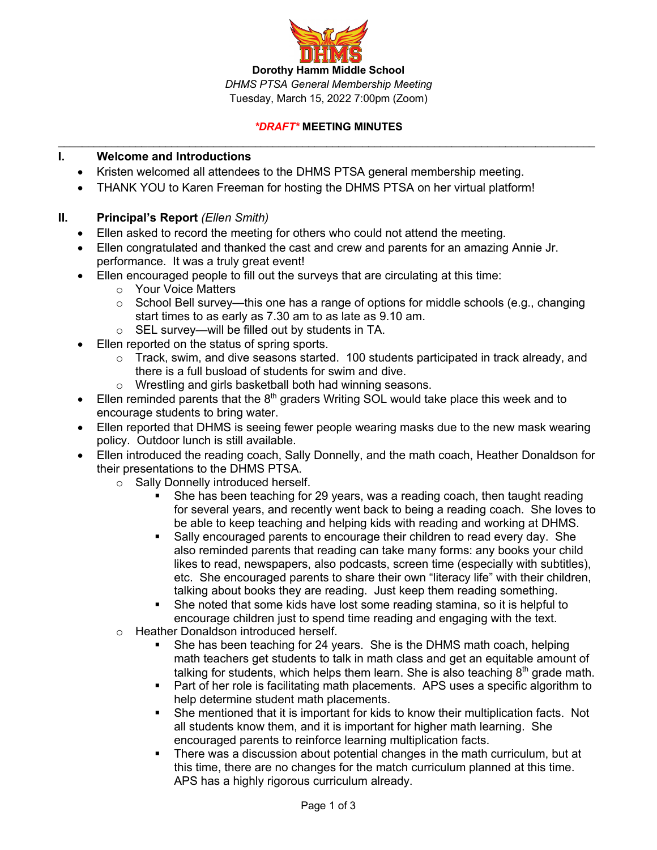

### *\*DRAFT\** **MEETING MINUTES** \_\_\_\_\_\_\_\_\_\_\_\_\_\_\_\_\_\_\_\_\_\_\_\_\_\_\_\_\_\_\_\_\_\_\_\_\_\_\_\_\_\_\_\_\_\_\_\_\_\_\_\_\_\_\_\_\_\_\_\_\_\_\_\_\_\_\_\_\_\_\_\_\_\_\_\_\_\_\_\_\_\_\_\_\_\_\_\_\_\_

## **I. Welcome and Introductions**

- Kristen welcomed all attendees to the DHMS PTSA general membership meeting.
- THANK YOU to Karen Freeman for hosting the DHMS PTSA on her virtual platform!
- **II. Principal's Report** *(Ellen Smith)*
	- Ellen asked to record the meeting for others who could not attend the meeting.
	- Ellen congratulated and thanked the cast and crew and parents for an amazing Annie Jr. performance. It was a truly great event!
	- Ellen encouraged people to fill out the surveys that are circulating at this time:
		- o Your Voice Matters
		- $\circ$  School Bell survey—this one has a range of options for middle schools (e.g., changing start times to as early as 7.30 am to as late as 9.10 am.
		- o SEL survey—will be filled out by students in TA.
	- Ellen reported on the status of spring sports.
		- $\circ$  Track, swim, and dive seasons started. 100 students participated in track already, and there is a full busload of students for swim and dive.
		- o Wrestling and girls basketball both had winning seasons.
	- Ellen reminded parents that the  $8<sup>th</sup>$  graders Writing SOL would take place this week and to encourage students to bring water.
	- Ellen reported that DHMS is seeing fewer people wearing masks due to the new mask wearing policy. Outdoor lunch is still available.
	- Ellen introduced the reading coach, Sally Donnelly, and the math coach, Heather Donaldson for their presentations to the DHMS PTSA.
		- o Sally Donnelly introduced herself.
			- She has been teaching for 29 years, was a reading coach, then taught reading for several years, and recently went back to being a reading coach. She loves to be able to keep teaching and helping kids with reading and working at DHMS.
			- Sally encouraged parents to encourage their children to read every day. She also reminded parents that reading can take many forms: any books your child likes to read, newspapers, also podcasts, screen time (especially with subtitles), etc. She encouraged parents to share their own "literacy life" with their children, talking about books they are reading. Just keep them reading something.
			- She noted that some kids have lost some reading stamina, so it is helpful to encourage children just to spend time reading and engaging with the text.
		- o Heather Donaldson introduced herself.
			- § She has been teaching for 24 years. She is the DHMS math coach, helping math teachers get students to talk in math class and get an equitable amount of talking for students, which helps them learn. She is also teaching  $8<sup>th</sup>$  grade math.
			- Part of her role is facilitating math placements. APS uses a specific algorithm to help determine student math placements.
			- She mentioned that it is important for kids to know their multiplication facts. Not all students know them, and it is important for higher math learning. She encouraged parents to reinforce learning multiplication facts.
			- § There was a discussion about potential changes in the math curriculum, but at this time, there are no changes for the match curriculum planned at this time. APS has a highly rigorous curriculum already.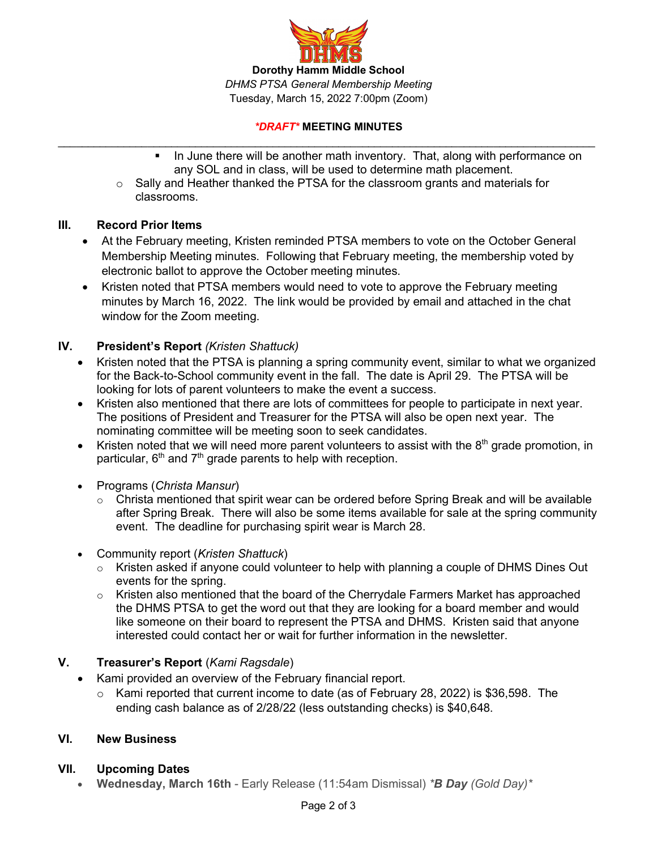

#### *\*DRAFT\** **MEETING MINUTES** \_\_\_\_\_\_\_\_\_\_\_\_\_\_\_\_\_\_\_\_\_\_\_\_\_\_\_\_\_\_\_\_\_\_\_\_\_\_\_\_\_\_\_\_\_\_\_\_\_\_\_\_\_\_\_\_\_\_\_\_\_\_\_\_\_\_\_\_\_\_\_\_\_\_\_\_\_\_\_\_\_\_\_\_\_\_\_\_\_\_

- In June there will be another math inventory. That, along with performance on any SOL and in class, will be used to determine math placement.
- o Sally and Heather thanked the PTSA for the classroom grants and materials for classrooms.

# **III. Record Prior Items**

- At the February meeting, Kristen reminded PTSA members to vote on the October General Membership Meeting minutes. Following that February meeting, the membership voted by electronic ballot to approve the October meeting minutes.
- Kristen noted that PTSA members would need to vote to approve the February meeting minutes by March 16, 2022. The link would be provided by email and attached in the chat window for the Zoom meeting.

# **IV. President's Report** *(Kristen Shattuck)*

- Kristen noted that the PTSA is planning a spring community event, similar to what we organized for the Back-to-School community event in the fall. The date is April 29. The PTSA will be looking for lots of parent volunteers to make the event a success.
- Kristen also mentioned that there are lots of committees for people to participate in next year. The positions of President and Treasurer for the PTSA will also be open next year. The nominating committee will be meeting soon to seek candidates.
- Kristen noted that we will need more parent volunteers to assist with the  $8<sup>th</sup>$  grade promotion, in particular,  $6<sup>th</sup>$  and  $7<sup>th</sup>$  grade parents to help with reception.
- Programs (*Christa Mansur*)
	- $\circ$  Christa mentioned that spirit wear can be ordered before Spring Break and will be available after Spring Break. There will also be some items available for sale at the spring community event. The deadline for purchasing spirit wear is March 28.
- Community report (*Kristen Shattuck*)
	- $\circ$  Kristen asked if anyone could volunteer to help with planning a couple of DHMS Dines Out events for the spring.
	- $\circ$  Kristen also mentioned that the board of the Cherrydale Farmers Market has approached the DHMS PTSA to get the word out that they are looking for a board member and would like someone on their board to represent the PTSA and DHMS. Kristen said that anyone interested could contact her or wait for further information in the newsletter.

# **V. Treasurer's Report** (*Kami Ragsdale*)

- Kami provided an overview of the February financial report.
	- $\circ$  Kami reported that current income to date (as of February 28, 2022) is \$36,598. The ending cash balance as of 2/28/22 (less outstanding checks) is \$40,648.

# **VI. New Business**

# **VII. Upcoming Dates**

• **Wednesday, March 16th** - Early Release (11:54am Dismissal) *\*B Day (Gold Day)\**